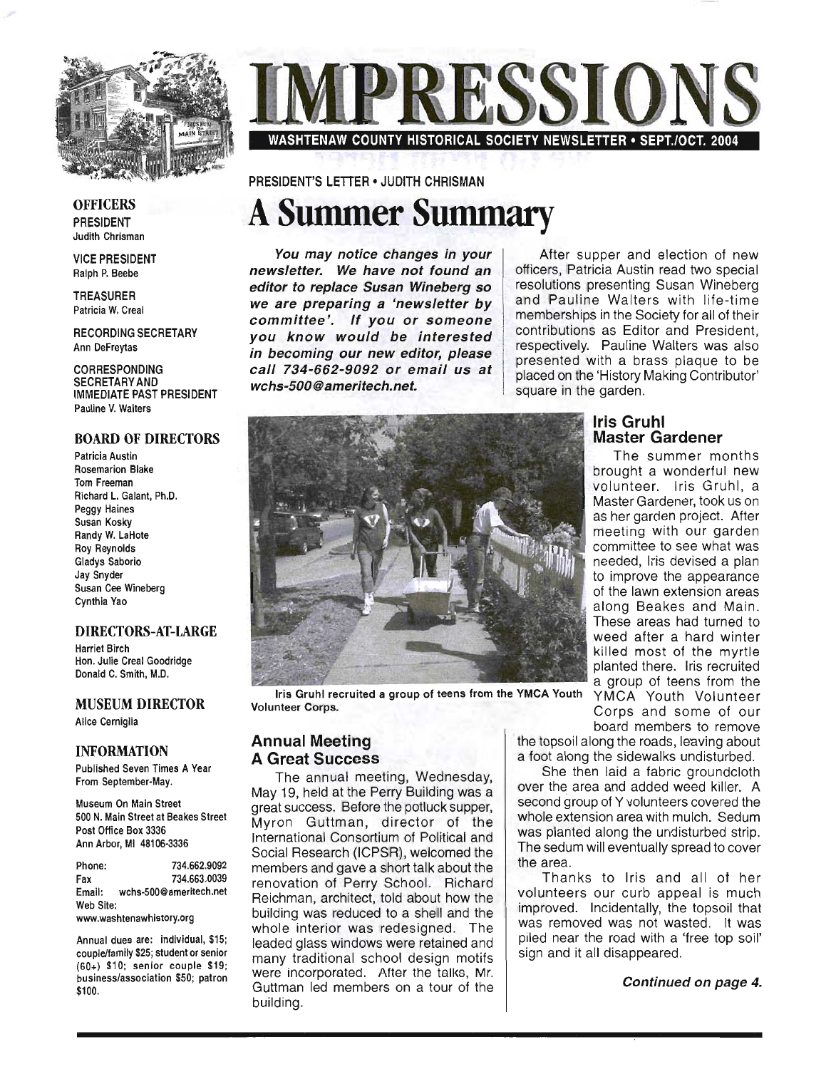

# WASHTENAW COUNTY HISTORICAL SOCIETY NEWSLETTER • SEPT./OCT. 2004

PRESIDENT'S LETIER • JUDITH CHRISMAN

## **A Sununer Sununary**

You may notice changes in your newsletter. We have not found an editor to replace Susan Wineberg so we are preparing a 'newsletter by committee'. If you or someone you know would be interested in becoming our new editor, please call 734-662-9092 or email us at wchs-500@ameritech.net.

After supper and election of new officers, Patricia Austin read two special resolutions presenting Susan Wineberg and Pauline Walters with life-time memberships in the Society for all of their contributions as Editor and President respectively. Pauline Walters was also presented with a brass plaque to be placed on the 'History Making Contributor' square in the garden.



Iris Gruhl recruited a group of teens from the YMCA Youth YMCA Youth Volunteer<br>Volunteer Corps. Corps and some of our

#### Annual Meeting A Great Success

The annual meeting, Wednesday, May 19, held at the Perry Building was a great success. Before the potluck supper, Myron Guttman, director of the International Consortium of Political and Social Research (ICPSR), welcomed the members and gave a short talk about the renovation of Perry School. Richard Reichman, architect, told about how the building was reduced to a shell and the whole interior was redesigned. The leaded glass windows were retained and many traditional school design motifs were incorporated. After the talks, Mr. Guttman led members on a tour of the building.

#### Iris Gruhl Master Gardener

The summer months brought a wonderful new volunteer. Iris Gruhl, a Master Gardener, took us on as her garden project. After meeting with our garden committee to see what was needed, Iris devised a plan to improve the appearance of the lawn extension areas along Beakes and Main. These areas had turned to weed after a hard winter killed most of the myrtle planted there. Iris recruited a group of teens from the

Corps and some of our board members to remove

the topsoil along the roads, leaving about a foot along the sidewalks undisturbed.

She then laid a fabric groundcloth over the area and added weed killer. A second group of Y volunteers covered the whole extension area with mulch. Sedum was planted along the undisturbed strip. The sedum will eventually spread to cover the area.

Thanks to Iris and all of her volunteers our curb appeal is much improved. Incidentally, the topsoil that was removed was not wasted. It was piled near the road with a 'free top soil' sign and it all disappeared.

Continued on page 4.

**OFFICERS** PRESIDENT Judith Chrisman

VICE PRESIDENT Ralph P. Beebe

TREASURER Patricia W. Creal

RECORDING SECRETARY Ann DeFreytas

CORRESPONDING SECRETARY AND IMMEDIATE PAST PRESIDENT Pauline V. Walters

#### BOARD OF DIRECTORS

Patricia Austin Rosemarion Blake Tom Freeman Richard L. Galant, Ph.D. Peggy Haines Susan Kosky Randy W. LaHote Roy Reynolds Gladys Saborio Jay Snyder Susan Cee Wineberg Cynthia Yao

#### DIRECTORS-AT-LARGE

Harriet Birch Hon. Julie Creal Goodridge Donald C. Smith, M.D.

#### MUSEUM DIRECTOR

Alice Cerniglia

#### INFORMATION

Published Seven Times A Year From September·May.

Museum On Main Street 500 N. Main Street at Beakes Street Post Office Box 3336 Ann Arbor, MI 48106·3336

Phone: 734.662.9092 Fax 734.663.0039 Email: wchs·500@ameritech.net Web Site:

www.washtenawhistory.org

Annual dues are: individual, \$15; couple/family \$25; student or senior (60+) \$10; senior couple \$19; business/association \$50; patron \$100.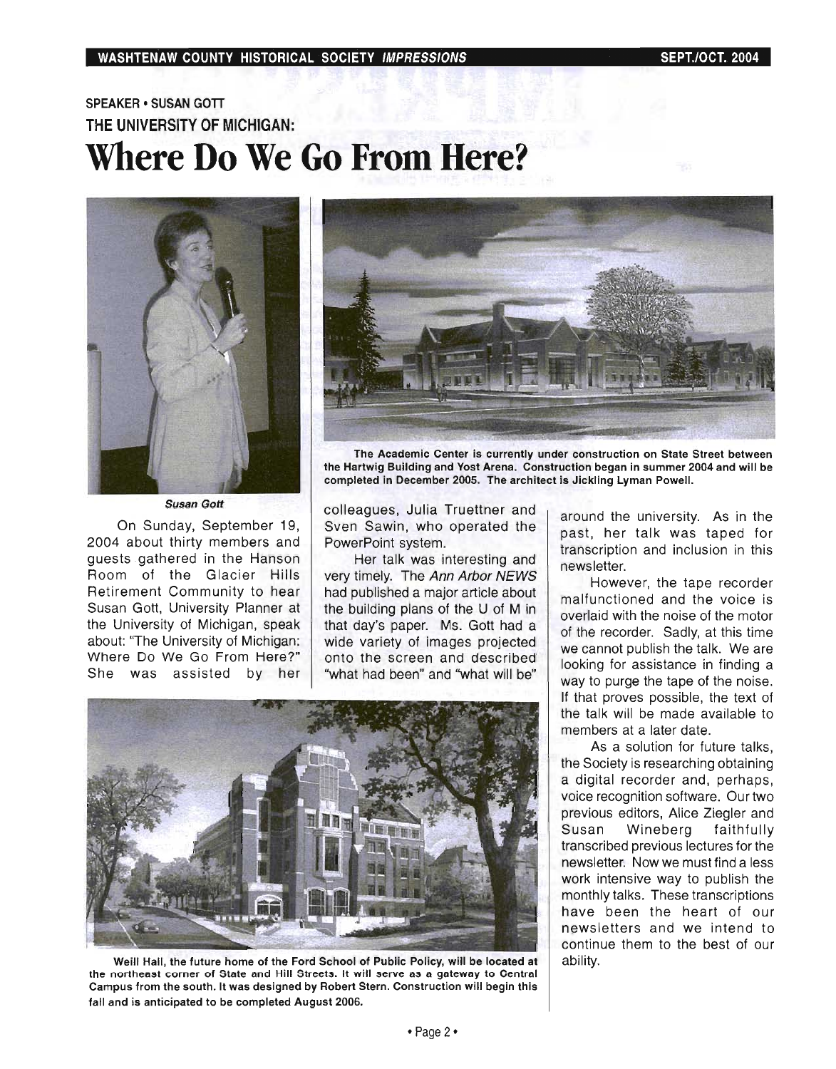### SPEAKER · SUSAN GOTT THE UNIVERSITY OF MICHIGAN: Where Do We Go **From Here?**



Susan Gott

On Sunday, September 19, 2004 about thirty members and guests gathered in the Hanson Room of the Glacier Hills Retirement Community to hear Susan Gott, University Planner at the University of Michigan, speak about: "The University of Michigan: Where Do We Go From Here?" She was assisted by her



The Academic Center is currently under construction on State Street between the Hartwig Building and Yost Arena. Construction began in summer 2004 and will be completed in December 2005. The architect is Jickling Lyman Powell.

colleagues, Julia Truettner and Sven Sawin, who operated the PowerPoint system.

Her talk was interesting and very timely. The Ann Arbor NEWS had published a major article about the building plans of the U of M in that day's paper. Ms. Gott had a wide variety of images projected onto the screen and described "what had been" and "what will be"



Weill Hall, the future home of the Ford School of Public Policy, will be located at the northeast corner of State and Hill Streets. It will serve as a gateway to Central Campus from the south. It was designed by Robert Stern. Construction will begin this fall and is anticipated to be completed August 2006.

around the university. As in the past, her talk was taped for transcription and inclusion in this newsletter.

However, the tape recorder malfunctioned and the voice is overlaid with the noise of the motor of the recorder. Sadly, at this time we cannot publish the talk. We are looking for assistance in finding a way to purge the tape of the noise. If that proves pOSSible, the text of the talk will be made available to members at a later date.

As a solution for future talks, the Society is researching obtaining a digital recorder and, perhaps, voice recognition software. Our two previous editors, Alice Ziegler and Susan Wineberg faithfully transcribed previous lectures for the newsletter. Now we must find a less work intensive way to publish the monthly talks. These transcriptions have been the heart of our newsletters and we intend to continue them to the best of our ability.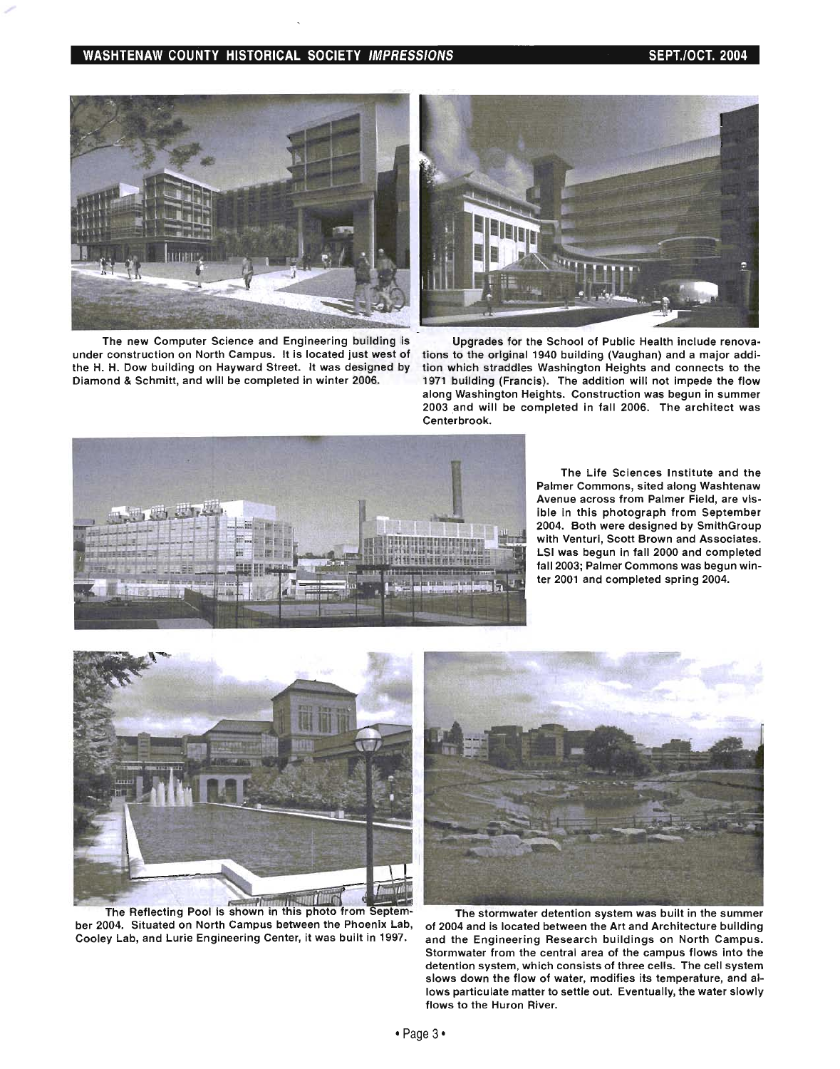#### WASHTENAW COUNTY HISTORICAL SOCIETY IMPRESSIONS SEPT. AND SEPT. (OCT. 2004



The new Computer Science and Engineering building is under construction on North Campus. It is located just west of the H. H. Dow building on Hayward Street. It was designed by Diamond & Schmitt, and will be completed in winter 2006.



Upgrades for the School of Public Health include renovations to the original 1940 building (Vaughan) and a major addition which straddles Washington Heights and connects to the 1971 building (Francis). The addition will not impede the flow along Washington Heights. Construction was begun in summer 2003 and will be completed in fall 2006. The architect was Centerbrook.



The Life Sciences Institute and the Palmer Commons, sited along Washtenaw Avenue across from Palmer Field, are visible in this photograph from September 2004. Both were designed by SmithGroup with Venturi, Scott Brown and Associates. LSI was begun in fall 2000 and completed fall 2003; Palmer Commons was begun winter 2001 and completed spring 2004.



ber 2004. Situated on North Campus between the Phoenix Lab, Cooley Lab, and Lurie Engineering Center, it was built in 1997.



The stormwater detention system was built in the summer of 2004 and is located between the Art and Architecture building and the Engineering Research buildings on North Campus. Stormwater from the central area of the campus flows into the detention system, which consists of three cells. The cell system slows down the flow of water, modifies its temperature, and allows particulate matter to settle out. Eventually, the water slowly flows to the Huron River.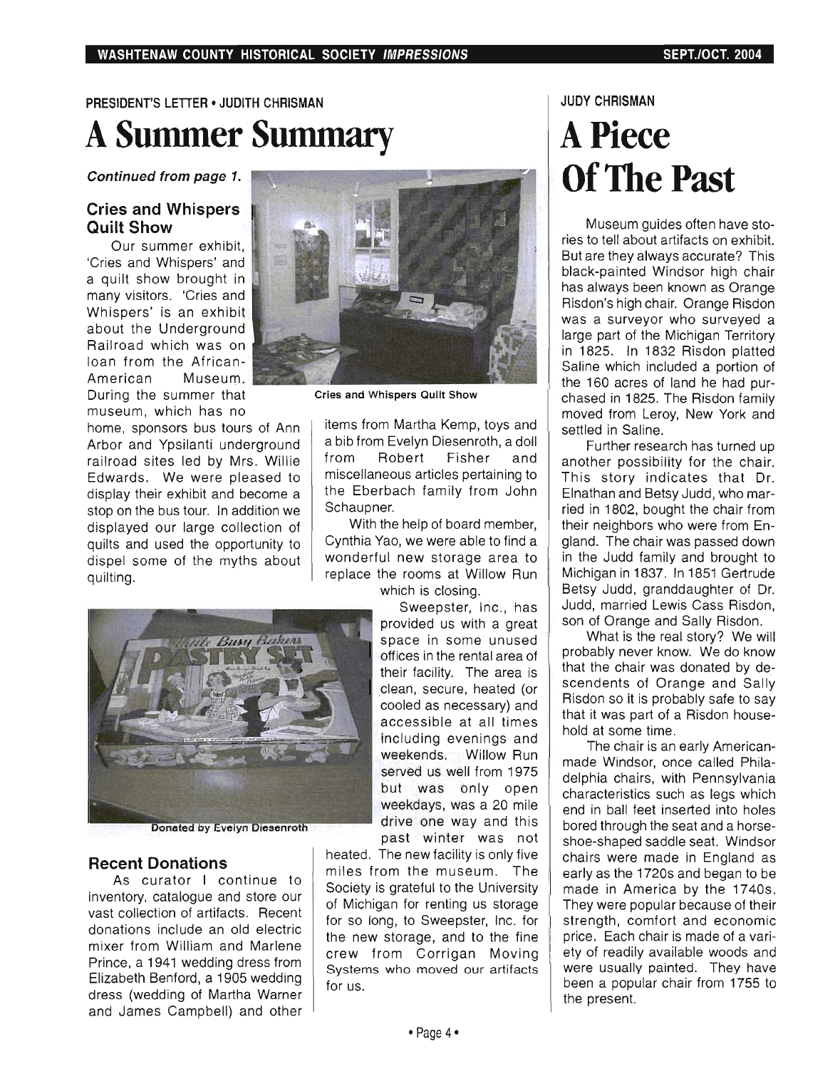## PRESIDENT'S LETTER • JUDITH CHRISMAN **A Summer Summary**

#### Continued from page 1.

#### Cries and Whispers Quilt Show

Our summer exhibit, 'Cries and Whispers' and a quilt show brought in many visitors. 'Cries and Whispers' is an exhibit about the Underground Railroad which was on loan from the African-American Museum. During the summer that museum, which has no

home, sponsors bus tours of Ann Arbor and Ypsilanti underground railroad sites led by Mrs. Willie Edwards. We were pleased to display their exhibit and become a stop on the bus tour. In addition we displayed our large collection of quilts and used the opportunity to dispel some of the myths about quilting.



Donated by Evelyn Diesenroth

#### Recent Donations

As curator I continue to inventory, catalogue and store our vast collection of artifacts. Recent donations include an old electric mixer from William and Marlene Prince, a 1941 wedding dress from Elizabeth Benford, a 1905 wedding dress (wedding of Martha Warner and James Campbell) and other



Cries and Whispers Quilt Show

items from Martha Kemp, toys and a bib from Evelyn Diesenroth, a doll from Robert Fisher and miscellaneous articles pertaining to the Eberbach family from John Schaupner.

With the help of board member, Cynthia Yao, we were able to find a wonderful new storage area to replace the rooms at Willow Run which is closing.

Sweepster, Inc., has provided us with a great space in some unused offices in the rental area of their facility. The area is .clean, secure, heated (or cooled as necessary) and accessible at ali times including evenings and weekends. Willow Run served us well from 1975 but was only open weekdays, was a 20 mile drive one way and this past winter was not

heated. The new facility is only five miles from the museum. The Society is grateful to the University of Michigan for renting us storage for so long, to Sweepster, Inc. for the new storage, and to the fine crew from Corrigan Moving Systems who moved our artifacts for us.

#### JUDY CHRISMAN

## **APiece**  Of The **Past**

Museum guides often have stories to tell about artifacts on exhibit. But are they always accurate? This black-painted Windsor high chair has always been known as Orange Risdon's high chair. Orange Risdon was a surveyor who surveyed a large part of the Michigan Territory in 1825. In 1832 Risdon platted Saline which included a portion of the 160 acres of land he had purchased in 1825. The Risdon family moved from Leroy, New York and settled in Saline.

Further research has turned up another possibility for the chair. This story indicates that Dr. Elnathan and Betsy Judd, who married in 1802, bought the chair from their neighbors who were from England. The chair was passed down in the Judd family and brought to Michigan in 1837. In 1851 Gertrude Betsy Judd, granddaughter of Dr. Judd, married Lewis Cass Risdon, son of Orange and Sally Risdon.

What is the real story? We will probably never know. We do know that the chair was donated by descendents of Orange and Sally Risdon so it is probably safe to say that it was part of a Risdon household at some time.

The chair is an early Americanmade Windsor, once called Philadelphia chairs, with Pennsylvania characteristics such as legs which end in ball feet inserted into holes bored through the seat and a horseshoe-shaped saddle seat. Windsor chairs were made in England as early as the 1720s and began to be made in America by the 1740s. They were popular because of their strength, comfort and economic price. Each chair is made of a variety of readily available woods and were usually painted. They have been a popular chair from 1755 to the present.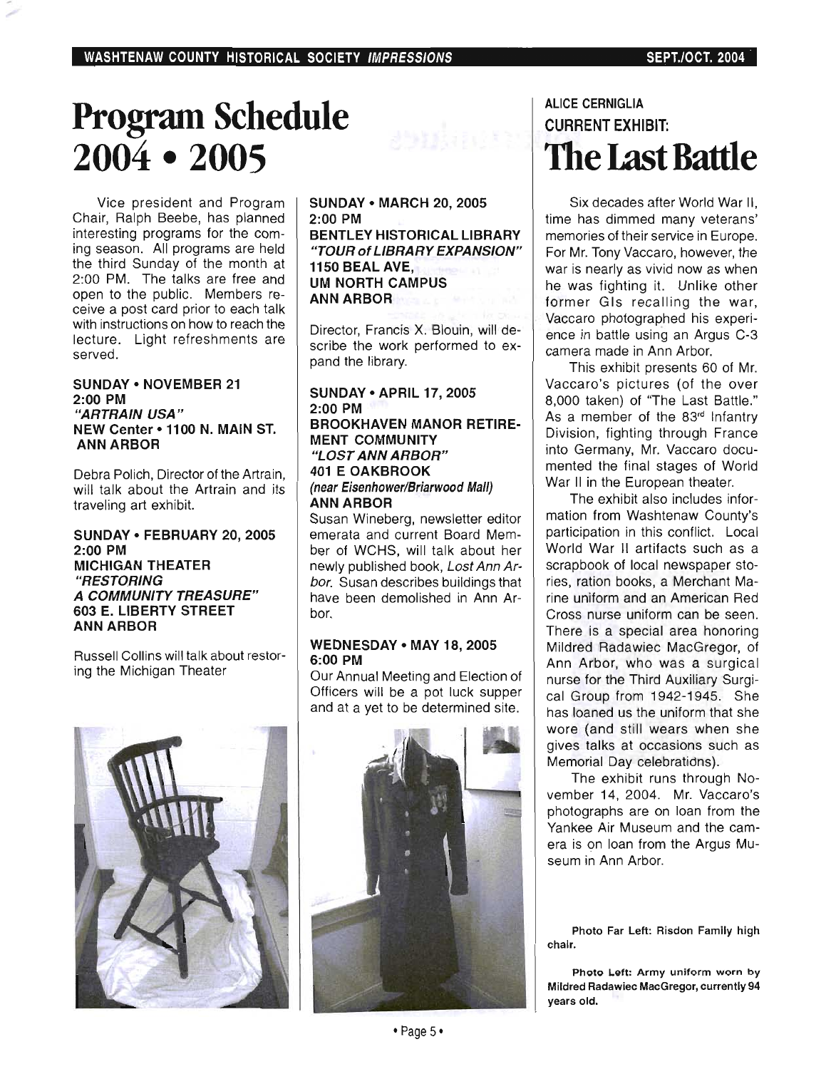## **Program Schedule 2004· 2005**

Vice president and Program Chair, Ralph Beebe, has planned interesting programs for the coming season. All programs are held the third Sunday of the month at 2:00 PM. The talks are free and open to the public. Members receive a post card prior to each talk with instructions on how to reach the lecture. Light refreshments are served .

#### SUNDAY • NOVEMBER 21 2:00 PM "ARTRAIN USA" NEW Center· 1100 N. MAIN ST. ANN ARBOR

Debra Polich, Director of the Artrain, will talk about the Artrain and its traveling art exhibit.

#### SUNDAY • FEBRUARY 20, 2005 2:00 PM MICHIGAN THEATER "RESTORING A COMMUNITY TREASURE" 603 E. LIBERTY STREET ANN ARBOR

Russell Collins will talk about restoring the Michigan Theater



SUNDAY • MARCH 20, 2005 2:00 PM BENTLEY HISTORICAL LIBRARY "TOUR of LIBRARY EXPANSION" 1150 BEAL AVE, UM NORTH CAMPUS ANN ARBOR

Director, Francis X. Blouin, will describe the work performed to expand the library.

#### SUNDAY • APRIL 17, 2005 2:00 PM BROOKHAVEN MANOR RETIRE-MENT COMMUNITY "LOST ANN ARBOR" 401 E OAKBROOK (near Eisenhower/Briarwood Mall) ANN ARBOR

Susan Wineberg, newsletter editor emerata and current Board Member of WCHS, will talk about her newly published book, Lost Ann Arbor. Susan describes buildings that have been demolished in Ann Arbor.

#### WEDNESDAY • MAY 18, 2005 6:00 PM

Our Annual Meeting and Election of Officers will be a pot luck supper and at a yet to be determined site.



#### ALICE CERNIGLIA CURRENT EXHIBIT: **The Last Battle**

Six decades after World War II, time has dimmed many veterans' memories of their service in Europe. For Mr. Tony Vaccaro, however, the war is nearly as vivid now as when he was fighting it. Unlike other former GIs recalling the war, Vaccaro photographed his experience in battle using an Argus C-3 camera made in Ann Arbor.

This exhibit presents 60 of Mr. Vaccaro's pictures (of the over 8,000 taken) of "The Last Battle." As a member of the 83<sup>rd</sup> Infantry Division, fighting through France into Germany, Mr. Vaccaro documented the final stages of World War II in the European theater.

The exhibit also includes information from Washtenaw County's participation in this conflict. Local World War II artifacts such as a scrapbook of local newspaper stories, ration books, a Merchant Marine uniform and an American Red Cross nurse uniform can be seen. There is a special area honoring Mildred Radawiec MacGregor, of Ann Arbor, who was a surgical nurse for the Third Auxiliary Surgical Group from 1942-1945. She has loaned us the uniform that she wore (and still wears when she gives talks at occasions such as Memorial Day celebratidns).

The exhibit runs through November 14, 2004. Mr. Vaccaro's photographs are on loan from the Yankee Air Museum and the camera is on loan from the Argus Museum in Ann Arbor.

Photo Far Left: Risdon Family high chair.

Photo Left: Army uniform worn by Mildred Radawiec MacGregor, currently 94 years old.